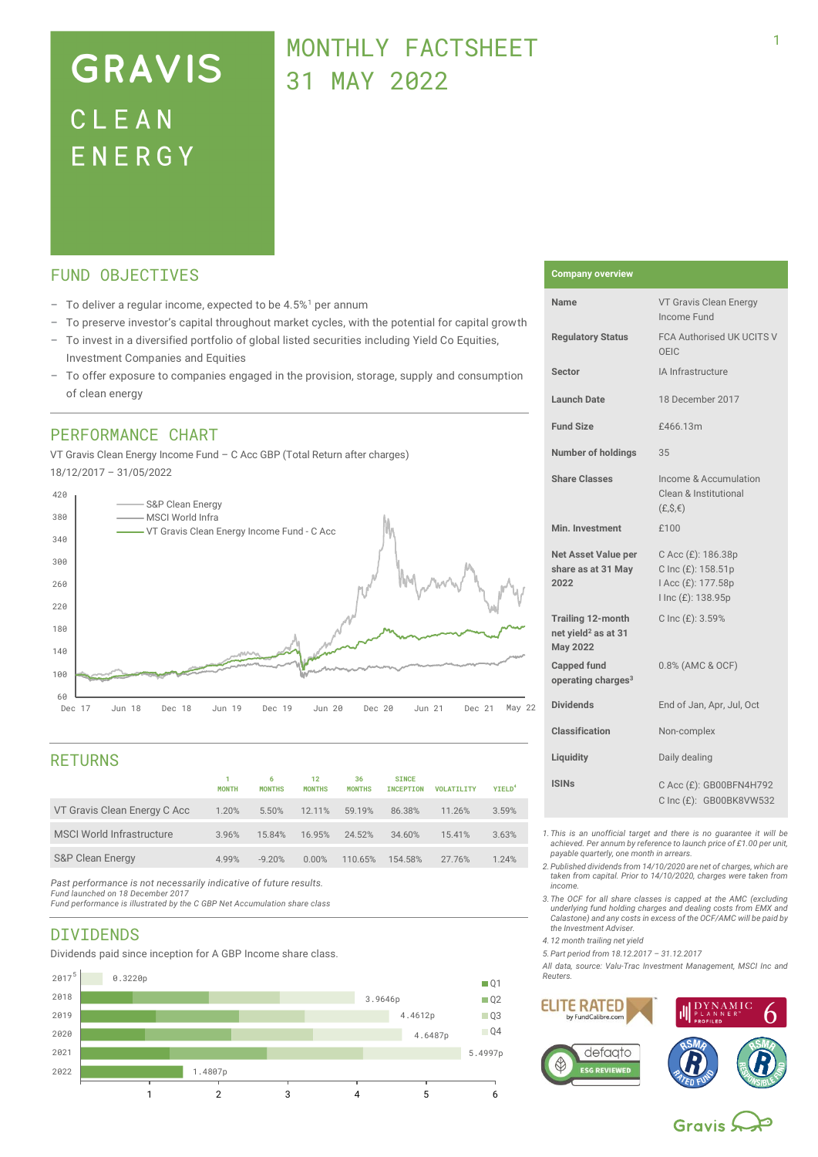# **GRAVIS** CLEAN ENERGY

## MONTHLY FACTSHEFT 31 MAY 2022

## FUND OBJECTIVES

- $-$  To deliver a regular income, expected to be 4.5%<sup>1</sup> per annum
- To preserve investor's capital throughout market cycles, with the potential for capital growth
- To invest in a diversified portfolio of global listed securities including Yield Co Equities, Investment Companies and Equities
- To offer exposure to companies engaged in the provision, storage, supply and consumption of clean energy

## PERFORMANCE CHART

VT Gravis Clean Energy Income Fund – C Acc GBP (Total Return after charges) 18/12/2017 – 31/05/2022



## RETURNS

|                                  | <b>MONTH</b> | 6<br><b>MONTHS</b> | 12<br><b>MONTHS</b> | 36<br><b>MONTHS</b> | <b>SINCE</b><br><b>INCEPTION</b> | <b>VOLATILITY</b> | <b>YIELD<sup>4</sup></b> |
|----------------------------------|--------------|--------------------|---------------------|---------------------|----------------------------------|-------------------|--------------------------|
| VT Gravis Clean Energy C Acc     | 1.20%        | 5.50%              | 12.11%              | 59.19%              | 86.38%                           | 11.26%            | 3.59%                    |
| <b>MSCI World Infrastructure</b> | 3.96%        | 15.84%             | 16.95%              | 24.52%              | 34.60%                           | 15.41%            | 3.63%                    |
| <b>S&amp;P Clean Energy</b>      | 4.99%        | $-9.20%$           | 0.00%               | 110.65%             | 154.58%                          | 27.76%            | 1.24%                    |
|                                  |              |                    |                     |                     |                                  |                   |                          |

*Past performance is not necessarily indicative of future results.* 

*Fund launched on 18 December 2017 Fund performance is illustrated by the C GBP Net Accumulation share class*

## DIVIDENDS

Dividends paid since inception for A GBP Income share class.



### **Company overview**

| Name                                                                           | VT Gravis Clean Energy<br>Income Fund                                                |
|--------------------------------------------------------------------------------|--------------------------------------------------------------------------------------|
| <b>Regulatory Status</b>                                                       | <b>FCA Authorised UK UCITS V</b><br>OFIC                                             |
| <b>Sector</b>                                                                  | IA Infrastructure                                                                    |
| <b>Launch Date</b>                                                             | 18 December 2017                                                                     |
| <b>Fund Size</b>                                                               | £466.13m                                                                             |
| <b>Number of holdings</b>                                                      | 35                                                                                   |
| <b>Share Classes</b>                                                           | Income & Accumulation<br>Clean & Institutional<br>$(E, S, \epsilon)$                 |
| Min. Investment                                                                | £100                                                                                 |
| Net Asset Value per<br>share as at 31 May<br>2022                              | C Acc (£): 186.38p<br>C Inc (£): 158.51p<br>I Acc (£): 177.58p<br>I Inc (£): 138.95p |
| <b>Trailing 12-month</b><br>net yield <sup>2</sup> as at 31<br><b>May 2022</b> | C Inc (£): 3.59%                                                                     |
| <b>Capped fund</b><br>operating charges <sup>3</sup>                           | 0.8% (AMC & OCF)                                                                     |
| <b>Dividends</b>                                                               | End of Jan, Apr, Jul, Oct                                                            |
| <b>Classification</b>                                                          | Non-complex                                                                          |
| Liquidity                                                                      | Daily dealing                                                                        |
| <b>ISINs</b>                                                                   | C Acc (£): GB00BFN4H792<br>C Inc (£): GB00BK8VW532                                   |

*1.This is an unofficial target and there is no guarantee it will be achieved. Per annum by reference to launch price of £1.00 per unit, payable quarterly, one month in arrears.*

*2.Published dividends from 14/10/2020 are net of charges, which are taken from capital. Prior to 14/10/2020, charges were taken from income.* 

*3.The OCF for all share classes is capped at the AMC (excluding underlying fund holding charges and dealing costs from EMX and Calastone) and any costs in excess of the OCF/AMC will be paid by the Investment Adviser.* 

*4.12 month trailing net yield*

*5.Part period from 18.12.2017 – 31.12.2017*

*All data, source: Valu-Trac Investment Management, MSCI Inc and Reuters.*



Gravis S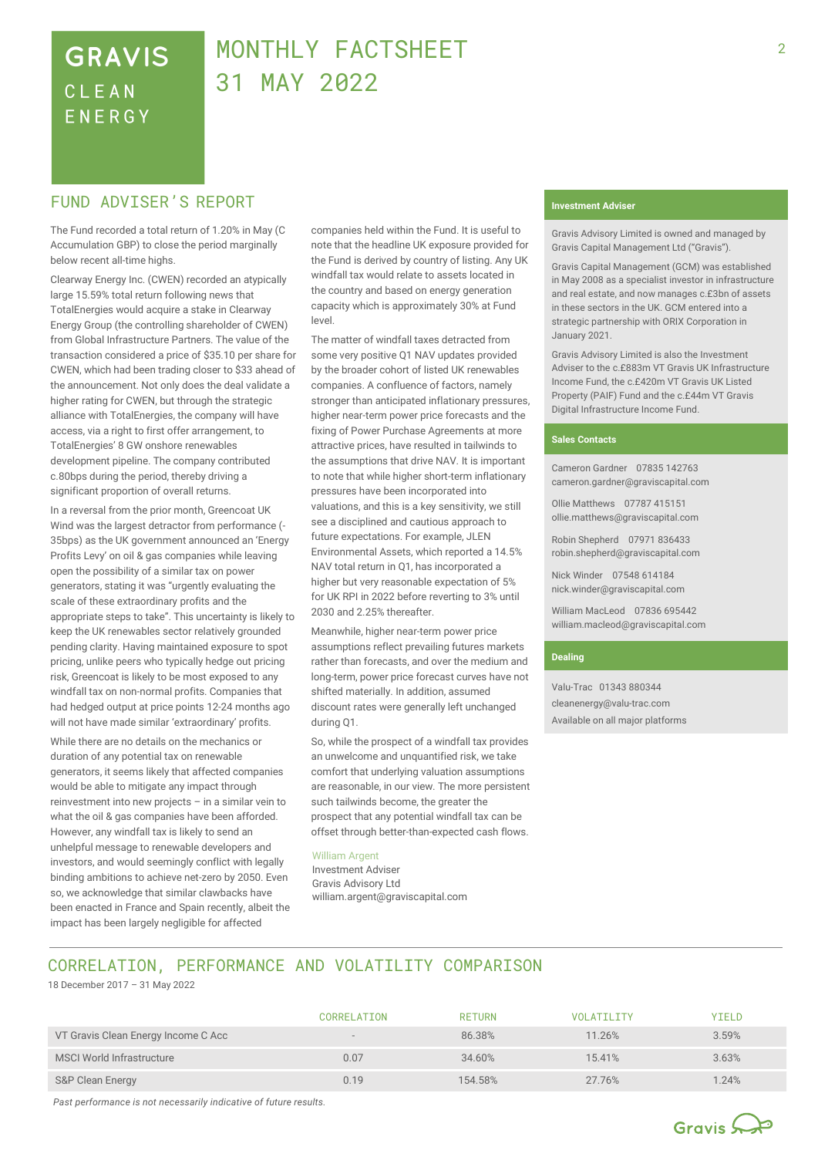## **GRAVIS** CLEAN **FNFRGY**

## MONTHLY FACTSHEET 31 MAY 2022

## **FUND ADVISER'S REPORT THE EXECUTION OF A LOCAL TERM** Investment Adviser

The Fund recorded a total return of 1.20% in May (C Accumulation GBP) to close the period marginally below recent all-time highs.

Clearway Energy Inc. (CWEN) recorded an atypically large 15.59% total return following news that TotalEnergies would acquire a stake in Clearway Energy Group (the controlling shareholder of CWEN) from Global Infrastructure Partners. The value of the transaction considered a price of \$35.10 per share for CWEN, which had been trading closer to \$33 ahead of the announcement. Not only does the deal validate a higher rating for CWEN, but through the strategic alliance with TotalEnergies, the company will have access, via a right to first offer arrangement, to TotalEnergies' 8 GW onshore renewables development pipeline. The company contributed c.80bps during the period, thereby driving a significant proportion of overall returns.

In a reversal from the prior month, Greencoat UK Wind was the largest detractor from performance (-35bps) as the UK government announced an 'Energy Profits Levy' on oil & gas companies while leaving open the possibility of a similar tax on power generators, stating it was "urgently evaluating the scale of these extraordinary profits and the appropriate steps to take". This uncertainty is likely to keep the UK renewables sector relatively grounded pending clarity. Having maintained exposure to spot pricing, unlike peers who typically hedge out pricing risk, Greencoat is likely to be most exposed to any windfall tax on non-normal profits. Companies that had hedged output at price points 12-24 months ago will not have made similar 'extraordinary' profits.

While there are no details on the mechanics or duration of any potential tax on renewable generators, it seems likely that affected companies would be able to mitigate any impact through reinvestment into new projects – in a similar vein to what the oil & gas companies have been afforded. However, any windfall tax is likely to send an unhelpful message to renewable developers and investors, and would seemingly conflict with legally binding ambitions to achieve net-zero by 2050. Even so, we acknowledge that similar clawbacks have been enacted in France and Spain recently, albeit the impact has been largely negligible for affected

companies held within the Fund. It is useful to note that the headline UK exposure provided for the Fund is derived by country of listing. Any UK windfall tax would relate to assets located in the country and based on energy generation capacity which is approximately 30% at Fund level.

The matter of windfall taxes detracted from some very positive Q1 NAV updates provided by the broader cohort of listed UK renewables companies. A confluence of factors, namely stronger than anticipated inflationary pressures, higher near-term power price forecasts and the fixing of Power Purchase Agreements at more attractive prices, have resulted in tailwinds to the assumptions that drive NAV. It is important to note that while higher short-term inflationary pressures have been incorporated into valuations, and this is a key sensitivity, we still see a disciplined and cautious approach to future expectations. For example, JLEN Environmental Assets, which reported a 14.5% NAV total return in Q1, has incorporated a higher but very reasonable expectation of 5% for UK RPI in 2022 before reverting to 3% until 2030 and 2.25% thereafter.

Meanwhile, higher near-term power price assumptions reflect prevailing futures markets rather than forecasts, and over the medium and long-term, power price forecast curves have not shifted materially. In addition, assumed discount rates were generally left unchanged during Q1.

So, while the prospect of a windfall tax provides an unwelcome and unquantified risk, we take comfort that underlying valuation assumptions are reasonable, in our view. The more persistent such tailwinds become, the greater the prospect that any potential windfall tax can be offset through better-than-expected cash flows.

### William Argent

Investment Adviser Gravis Advisory Ltd william.argent@graviscapital.com

Gravis Advisory Limited is owned and managed by Gravis Capital Management Ltd ("Gravis").

Gravis Capital Management (GCM) was established in May 2008 as a specialist investor in infrastructure and real estate, and now manages c.£3bn of assets in these sectors in the UK. GCM entered into a strategic partnership with ORIX Corporation in January 2021.

Gravis Advisory Limited is also the Investment Adviser to the c.£883m VT Gravis UK Infrastructure Income Fund, the c.£420m VT Gravis UK Listed Property (PAIF) Fund and the c.£44m VT Gravis Digital Infrastructure Income Fund.

### **Sales Contacts**

Cameron Gardner 07835 142763 cameron.gardner@graviscapital.com

Ollie Matthews 07787 415151 [ollie.matthews@graviscapital.com](mailto:ollie.matthews@graviscapital.com)

Robin Shepherd 07971 836433 [robin.shepherd@graviscapital.com](mailto:robin.shepherd@graviscapital.com)

Nick Winder [07548 614184](tel:07548%20614184) nick.winder@graviscapital.com

William MacLeod 07836 695442 [william.macleod@graviscapital.com](mailto:william.macleod@graviscapital.com)

### **Dealing**

Valu‑Trac 01343 880344 cleanenergy@valu-trac.com Available on all major platforms

## CORRELATION, PERFORMANCE AND VOLATILITY COMPARISON

18 December 2017 – 31 May 2022

|                                     | CORRELATION              | <b>RETURN</b> | VOI ATILITY | YIELD |
|-------------------------------------|--------------------------|---------------|-------------|-------|
| VT Gravis Clean Energy Income C Acc | $\overline{\phantom{a}}$ | 86.38%        | 11.26%      | 3.59% |
| <b>MSCI World Infrastructure</b>    | 0.07                     | 34.60%        | 15.41%      | 3.63% |
| S&P Clean Energy                    | 0.19                     | 154.58%       | 27.76%      | 1.24% |

*Past performance is not necessarily indicative of future results.* 

## Gravis Soft